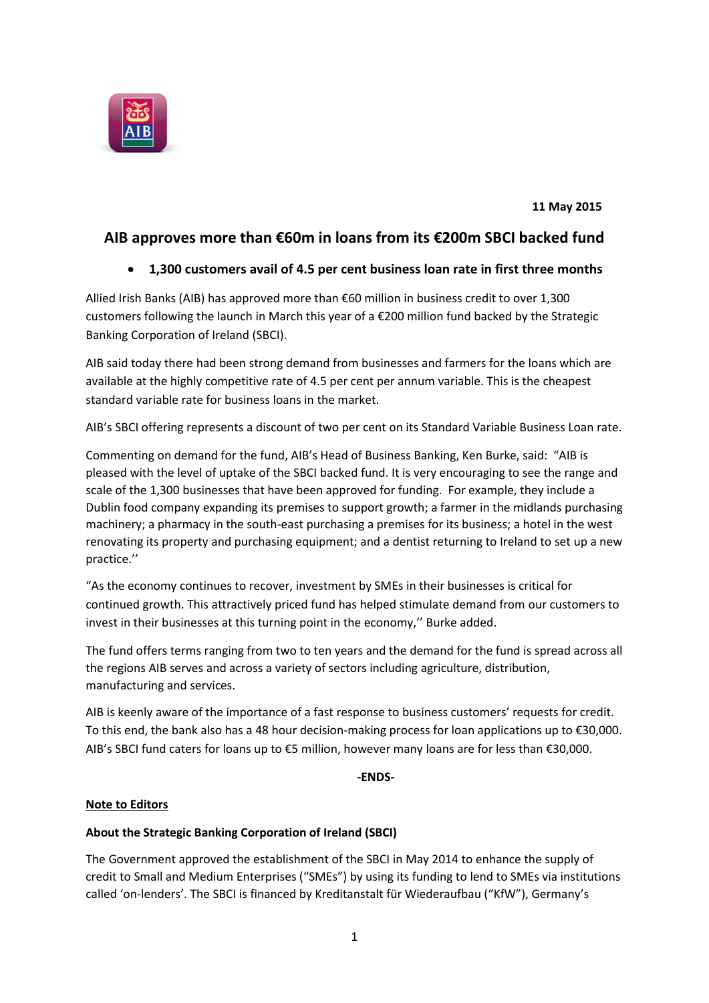

 **11 May 2015**

# **AIB approves more than €60m in loans from its €200m SBCI backed fund**

# **1,300 customers avail of 4.5 per cent business loan rate in first three months**

Allied Irish Banks (AIB) has approved more than €60 million in business credit to over 1,300 customers following the launch in March this year of a €200 million fund backed by the Strategic Banking Corporation of Ireland (SBCI).

AIB said today there had been strong demand from businesses and farmers for the loans which are available at the highly competitive rate of 4.5 per cent per annum variable. This is the cheapest standard variable rate for business loans in the market.

AIB's SBCI offering represents a discount of two per cent on its Standard Variable Business Loan rate.

Commenting on demand for the fund, AIB's Head of Business Banking, Ken Burke, said: "AIB is pleased with the level of uptake of the SBCI backed fund. It is very encouraging to see the range and scale of the 1,300 businesses that have been approved for funding. For example, they include a Dublin food company expanding its premises to support growth; a farmer in the midlands purchasing machinery; a pharmacy in the south-east purchasing a premises for its business; a hotel in the west renovating its property and purchasing equipment; and a dentist returning to Ireland to set up a new practice.''

"As the economy continues to recover, investment by SMEs in their businesses is critical for continued growth. This attractively priced fund has helped stimulate demand from our customers to invest in their businesses at this turning point in the economy,'' Burke added.

The fund offers terms ranging from two to ten years and the demand for the fund is spread across all the regions AIB serves and across a variety of sectors including agriculture, distribution, manufacturing and services.

AIB is keenly aware of the importance of a fast response to business customers' requests for credit. To this end, the bank also has a 48 hour decision-making process for loan applications up to €30,000. AIB's SBCI fund caters for loans up to €5 million, however many loans are for less than €30,000.

**-ENDS-**

#### **Note to Editors**

### **About the Strategic Banking Corporation of Ireland (SBCI)**

The Government approved the establishment of the SBCI in May 2014 to enhance the supply of credit to Small and Medium Enterprises ("SMEs") by using its funding to lend to SMEs via institutions called 'on-lenders'. The SBCI is financed by Kreditanstalt für Wiederaufbau ("KfW"), Germany's